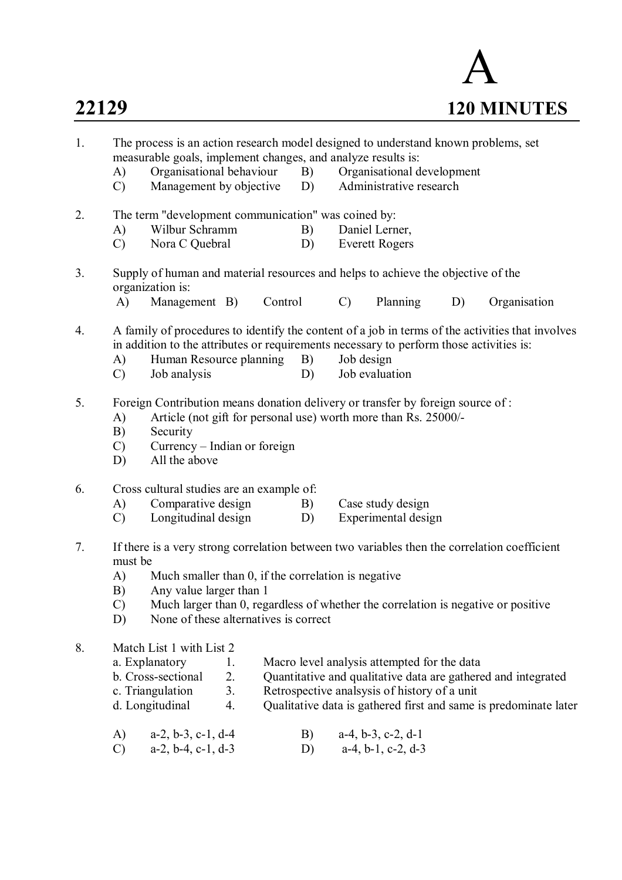

| 1. | The process is an action research model designed to understand known problems, set<br>measurable goals, implement changes, and analyze results is:                                                                                                                                                                                                                  |                                                                                                                                                                                                                             |  |  |  |  |  |
|----|---------------------------------------------------------------------------------------------------------------------------------------------------------------------------------------------------------------------------------------------------------------------------------------------------------------------------------------------------------------------|-----------------------------------------------------------------------------------------------------------------------------------------------------------------------------------------------------------------------------|--|--|--|--|--|
|    | Organisational behaviour<br>B)<br>A)<br>Management by objective<br>D)<br>$\mathcal{C}$                                                                                                                                                                                                                                                                              | Organisational development<br>Administrative research                                                                                                                                                                       |  |  |  |  |  |
| 2. | The term "development communication" was coined by:                                                                                                                                                                                                                                                                                                                 |                                                                                                                                                                                                                             |  |  |  |  |  |
|    | Wilbur Schramm<br>A)<br>B)                                                                                                                                                                                                                                                                                                                                          | Daniel Lerner,                                                                                                                                                                                                              |  |  |  |  |  |
|    | Nora C Quebral<br>D)<br>$\mathcal{C}$                                                                                                                                                                                                                                                                                                                               | <b>Everett Rogers</b>                                                                                                                                                                                                       |  |  |  |  |  |
| 3. | Supply of human and material resources and helps to achieve the objective of the<br>organization is:                                                                                                                                                                                                                                                                |                                                                                                                                                                                                                             |  |  |  |  |  |
|    | A)<br>Management B)<br>Control                                                                                                                                                                                                                                                                                                                                      | Planning<br>$\mathcal{C}$<br>D)<br>Organisation                                                                                                                                                                             |  |  |  |  |  |
| 4. | Human Resource planning<br>B)<br>A)<br>Job analysis<br>$\mathcal{C}$<br>D)                                                                                                                                                                                                                                                                                          | A family of procedures to identify the content of a job in terms of the activities that involves<br>in addition to the attributes or requirements necessary to perform those activities is:<br>Job design<br>Job evaluation |  |  |  |  |  |
| 5. | Foreign Contribution means donation delivery or transfer by foreign source of:<br>Article (not gift for personal use) worth more than Rs. 25000/-<br>A)<br>Security<br>B)<br>Currency - Indian or foreign<br>$\mathcal{C}$<br>All the above<br>D)                                                                                                                   |                                                                                                                                                                                                                             |  |  |  |  |  |
| 6. | Cross cultural studies are an example of:<br>Comparative design<br>A)<br>B)<br>Longitudinal design<br>$\mathcal{C}$<br>D)                                                                                                                                                                                                                                           | Case study design<br>Experimental design                                                                                                                                                                                    |  |  |  |  |  |
| 7. | If there is a very strong correlation between two variables then the correlation coefficient<br>must be<br>Much smaller than 0, if the correlation is negative<br>A)<br>B)<br>Any value larger than 1<br>Much larger than 0, regardless of whether the correlation is negative or positive<br>$\mathcal{C}$<br>None of these alternatives is correct<br>D)          |                                                                                                                                                                                                                             |  |  |  |  |  |
| 8. | Match List 1 with List 2<br>a. Explanatory<br>Macro level analysis attempted for the data<br>1.<br>2.<br>b. Cross-sectional<br>Quantitative and qualitative data are gathered and integrated<br>3.<br>c. Triangulation<br>Retrospective analsysis of history of a unit<br>d. Longitudinal<br>4.<br>Qualitative data is gathered first and same is predominate later |                                                                                                                                                                                                                             |  |  |  |  |  |
|    | $a-2$ , $b-3$ , $c-1$ , $d-4$<br>B)<br>A)<br>$a-2$ , $b-4$ , $c-1$ , $d-3$<br>$\mathcal{C}$<br>D)                                                                                                                                                                                                                                                                   | $a-4$ , $b-3$ , $c-2$ , $d-1$<br>$a-4$ , $b-1$ , $c-2$ , $d-3$                                                                                                                                                              |  |  |  |  |  |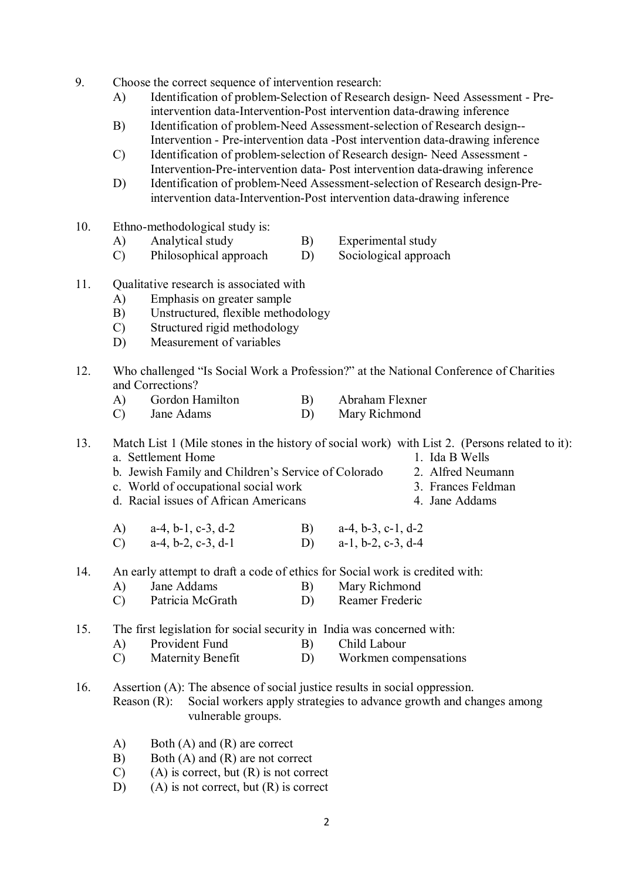- 9. Choose the correct sequence of intervention research:
	- A) Identification of problem-Selection of Research design- Need Assessment Preintervention data-Intervention-Post intervention data-drawing inference
	- B) Identification of problem-Need Assessment-selection of Research design-- Intervention - Pre-intervention data -Post intervention data-drawing inference
	- C) Identification of problem-selection of Research design- Need Assessment Intervention-Pre-intervention data- Post intervention data-drawing inference
	- D) Identification of problem-Need Assessment-selection of Research design-Preintervention data-Intervention-Post intervention data-drawing inference
- 10. Ethno-methodological study is:
	- A) Analytical study B) Experimental study
	- C) Philosophical approach D) Sociological approach
- 11. Qualitative research is associated with
	- A) Emphasis on greater sample
	- B) Unstructured, flexible methodology
	- C) Structured rigid methodology
	- D) Measurement of variables
- 12. Who challenged "Is Social Work a Profession?" at the National Conference of Charities and Corrections?
	- A) Gordon Hamilton B) Abraham Flexner
	- C) Jane Adams D) Mary Richmond

13. Match List 1 (Mile stones in the history of social work) with List 2. (Persons related to it): a. Settlement Home 1. Ida B Wells

- b. Jewish Family and Children's Service of Colorado 2. Alfred Neumann c. World of occupational social work 3. Frances Feldman
- c. World of occupational social work
- d. Racial issues of African Americans 4. Jane Addams
- 
- 
- -
- A) a-4, b-1, c-3, d-2 B) a-4, b-3, c-1, d-2 C) a-4, b-2, c-3, d-1 D) a-1, b-2, c-3, d-4

14. An early attempt to draft a code of ethics for Social work is credited with:

- A) Jane Addams B) Mary Richmond<br>
C) Patricia McGrath D) Reamer Frederic
- $(C)$  Patricia McGrath  $(D)$
- 15. The first legislation for social security in India was concerned with:
	- A) Provident Fund B) Child Labour
	- C) Maternity Benefit D) Workmen compensations
- 16. Assertion (A): The absence of social justice results in social oppression. Reason (R): Social workers apply strategies to advance growth and changes among vulnerable groups.
	- A) Both (A) and (R) are correct
	- B) Both (A) and (R) are not correct
	- $(C)$  (A) is correct, but  $(R)$  is not correct
	- D) (A) is not correct, but  $(R)$  is correct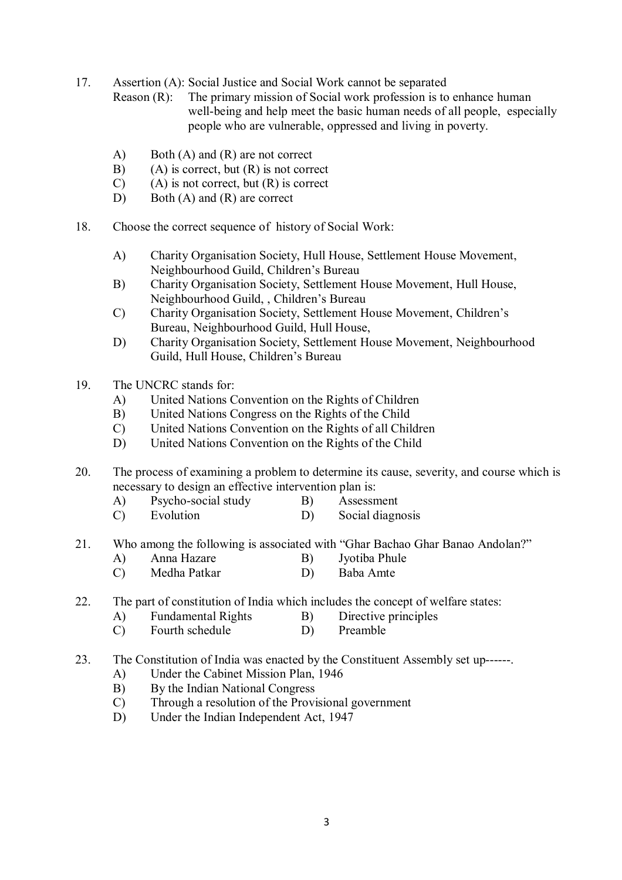17. Assertion (A): Social Justice and Social Work cannot be separated

Reason (R): The primary mission of Social work profession is to enhance human well-being and help meet the basic human needs of all people, especially people who are vulnerable, oppressed and living in poverty.

- A) Both (A) and (R) are not correct
- $B)$  (A) is correct, but  $(R)$  is not correct
- $(C)$  (A) is not correct, but  $(R)$  is correct
- D) Both (A) and (R) are correct
- 18. Choose the correct sequence of history of Social Work:
	- A) Charity Organisation Society, Hull House, Settlement House Movement, Neighbourhood Guild, Children's Bureau
	- B) Charity Organisation Society, Settlement House Movement, Hull House, Neighbourhood Guild, , Children's Bureau
	- C) Charity Organisation Society, Settlement House Movement, Children's Bureau, Neighbourhood Guild, Hull House,
	- D) Charity Organisation Society, Settlement House Movement, Neighbourhood Guild, Hull House, Children's Bureau
- 19. The UNCRC stands for:
	- A) United Nations Convention on the Rights of Children
	- B) United Nations Congress on the Rights of the Child
	- C) United Nations Convention on the Rights of all Children
	- D) United Nations Convention on the Rights of the Child

20. The process of examining a problem to determine its cause, severity, and course which is necessary to design an effective intervention plan is:

- A) Psycho-social study B) Assessment
- C) Evolution D) Social diagnosis
- 21. Who among the following is associated with "Ghar Bachao Ghar Banao Andolan?"
	- A) Anna Hazare B) Jyotiba Phule
	- C) Medha Patkar D) Baba Amte
- 22. The part of constitution of India which includes the concept of welfare states:
	- A) Fundamental Rights B) Directive principles
		- C) Fourth schedule D) Preamble
- 23. The Constitution of India was enacted by the Constituent Assembly set up------.
	- A) Under the Cabinet Mission Plan, 1946
	- B) By the Indian National Congress
	- C) Through a resolution of the Provisional government
	- D) Under the Indian Independent Act, 1947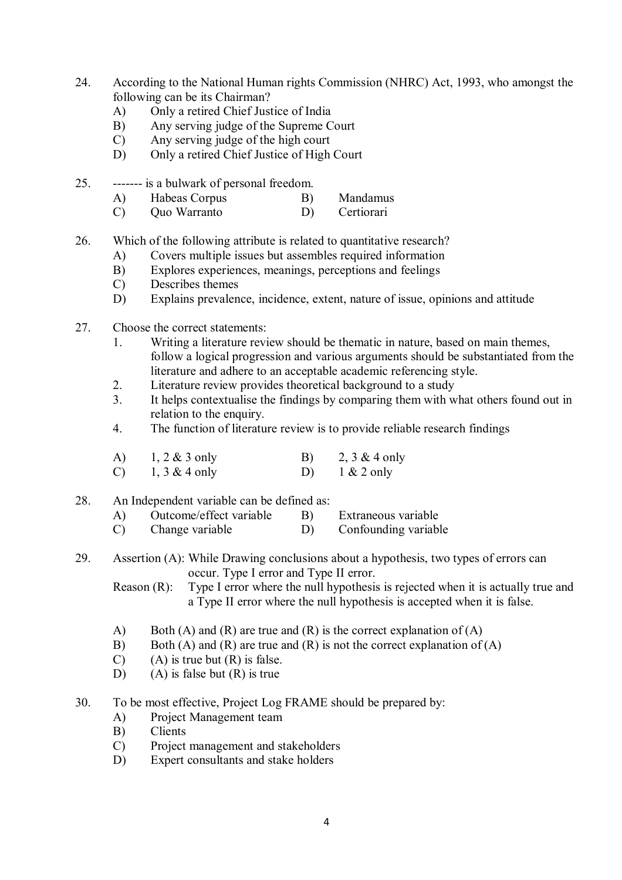- 24. According to the National Human rights Commission (NHRC) Act, 1993, who amongst the following can be its Chairman?
	- A) Only a retired Chief Justice of India
	- B) Any serving judge of the Supreme Court
	- C) Any serving judge of the high court
	- D) Only a retired Chief Justice of High Court
- 25. ------- is a bulwark of personal freedom.
	- A) Habeas Corpus B) Mandamus
	- C) Quo Warranto D) Certiorari
- 26. Which of the following attribute is related to quantitative research?
	- A) Covers multiple issues but assembles required information
	- B) Explores experiences, meanings, perceptions and feelings
	- C) Describes themes<br>D) Explains prevalen
	- Explains prevalence, incidence, extent, nature of issue, opinions and attitude
- 27. Choose the correct statements:
	- 1. Writing a literature review should be thematic in nature, based on main themes, follow a logical progression and various arguments should be substantiated from the literature and adhere to an acceptable academic referencing style.
	- 2. Literature review provides theoretical background to a study
	- 3. It helps contextualise the findings by comparing them with what others found out in relation to the enquiry.
	- 4. The function of literature review is to provide reliable research findings
	- A)  $1, 2 \& 3$  only B)  $2, 3 \& 4$  only C)  $1, 3 \& 4 \text{ only}$  D)  $1 \& 2 \text{ only}$
- 28. An Independent variable can be defined as:
	- A) Outcome/effect variable B) Extraneous variable
	- C) Change variable D) Confounding variable
- 29. Assertion (A): While Drawing conclusions about a hypothesis, two types of errors can occur. Type I error and Type II error.

Reason (R): Type I error where the null hypothesis is rejected when it is actually true and a Type II error where the null hypothesis is accepted when it is false.

- A) Both (A) and (R) are true and (R) is the correct explanation of (A)
- B) Both (A) and (R) are true and (R) is not the correct explanation of (A)
- $(C)$  (A) is true but  $(R)$  is false.
- D) (A) is false but  $(R)$  is true
- 30. To be most effective, Project Log FRAME should be prepared by:
	- A) Project Management team
	- B) Clients
	- C) Project management and stakeholders
	- D) Expert consultants and stake holders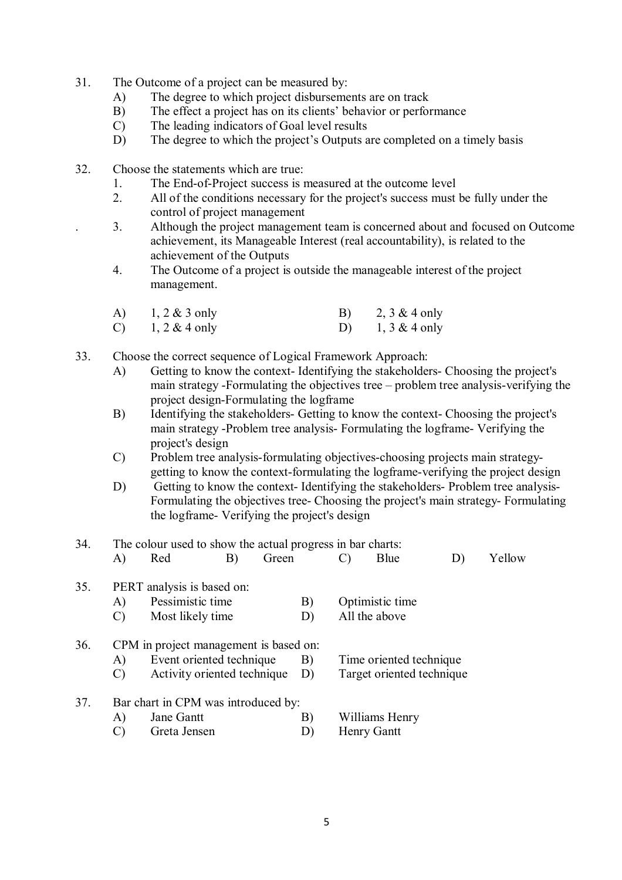- 31. The Outcome of a project can be measured by:
	- A) The degree to which project disbursements are on track
	- B) The effect a project has on its clients' behavior or performance
	- C) The leading indicators of Goal level results
	- D) The degree to which the project's Outputs are completed on a timely basis
- 32. Choose the statements which are true:
	- 1. The End-of-Project success is measured at the outcome level
	- 2. All of the conditions necessary for the project's success must be fully under the control of project management
	- . 3. Although the project management team is concerned about and focused on Outcome achievement, its Manageable Interest (real accountability), is related to the achievement of the Outputs
	- 4. The Outcome of a project is outside the manageable interest of the project management.

| A)            | $1, 2 \& 3$ only | 2, $3 & 4$ only  |
|---------------|------------------|------------------|
| $\mathcal{C}$ | $1, 2 \& 4$ only | $1, 3 \& 4$ only |

- 33. Choose the correct sequence of Logical Framework Approach:
	- A) Getting to know the context- Identifying the stakeholders- Choosing the project's main strategy -Formulating the objectives tree – problem tree analysis-verifying the project design-Formulating the logframe
	- B) Identifying the stakeholders- Getting to know the context- Choosing the project's main strategy -Problem tree analysis- Formulating the logframe- Verifying the project's design
	- C) Problem tree analysis-formulating objectives-choosing projects main strategygetting to know the context-formulating the logframe-verifying the project design
	- D) Getting to know the context- Identifying the stakeholders- Problem tree analysis-Formulating the objectives tree- Choosing the project's main strategy- Formulating the logframe- Verifying the project's design
- 34. The colour used to show the actual progress in bar charts: A) Red B) Green C) Blue D) Yellow 35. PERT analysis is based on: A) Pessimistic time B) Optimistic time C) Most likely time D) All the above 36. CPM in project management is based on: A) Event oriented technique B) Time oriented technique C) Activity oriented technique D) Target oriented technique 37. Bar chart in CPM was introduced by: A) Jane Gantt B) Williams Henry C) Greta Jensen D) Henry Gantt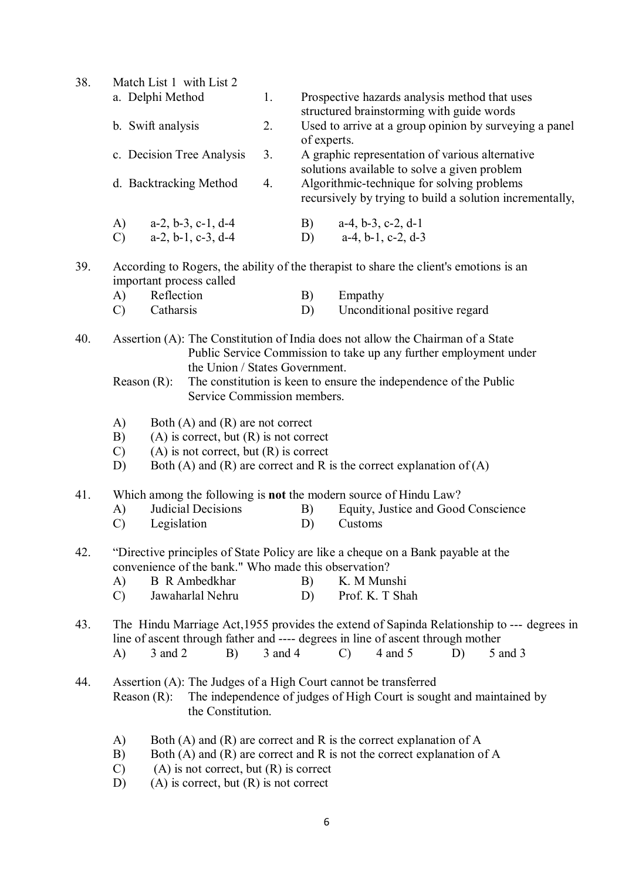| 38. | Match List 1 with List 2                                                                                           |                                                                 |             |             |                                                                                                 |  |  |
|-----|--------------------------------------------------------------------------------------------------------------------|-----------------------------------------------------------------|-------------|-------------|-------------------------------------------------------------------------------------------------|--|--|
|     |                                                                                                                    | a. Delphi Method                                                | 1.          |             | Prospective hazards analysis method that uses                                                   |  |  |
|     |                                                                                                                    |                                                                 |             |             | structured brainstorming with guide words                                                       |  |  |
|     |                                                                                                                    | b. Swift analysis                                               | 2.          |             | Used to arrive at a group opinion by surveying a panel                                          |  |  |
|     |                                                                                                                    | c. Decision Tree Analysis                                       | 3.          | of experts. |                                                                                                 |  |  |
|     |                                                                                                                    |                                                                 |             |             | A graphic representation of various alternative<br>solutions available to solve a given problem |  |  |
|     | d. Backtracking Method                                                                                             |                                                                 | 4.          |             | Algorithmic-technique for solving problems                                                      |  |  |
|     |                                                                                                                    |                                                                 |             |             | recursively by trying to build a solution incrementally,                                        |  |  |
|     | A)                                                                                                                 | $a-2, b-3, c-1, d-4$                                            |             | B)          | $a-4$ , $b-3$ , $c-2$ , $d-1$                                                                   |  |  |
|     | $\mathcal{C}$                                                                                                      | $a-2, b-1, c-3, d-4$                                            |             | D)          | $a-4$ , $b-1$ , $c-2$ , $d-3$                                                                   |  |  |
| 39. |                                                                                                                    |                                                                 |             |             | According to Rogers, the ability of the therapist to share the client's emotions is an          |  |  |
|     |                                                                                                                    | important process called<br>Reflection                          |             |             |                                                                                                 |  |  |
|     | A)<br>$\mathcal{C}$                                                                                                | Catharsis                                                       |             | B)<br>D)    | Empathy<br>Unconditional positive regard                                                        |  |  |
|     |                                                                                                                    |                                                                 |             |             |                                                                                                 |  |  |
| 40. |                                                                                                                    |                                                                 |             |             | Assertion (A): The Constitution of India does not allow the Chairman of a State                 |  |  |
|     |                                                                                                                    |                                                                 |             |             | Public Service Commission to take up any further employment under                               |  |  |
|     |                                                                                                                    | the Union / States Government.                                  |             |             |                                                                                                 |  |  |
|     | Reason $(R)$ :<br>The constitution is keen to ensure the independence of the Public<br>Service Commission members. |                                                                 |             |             |                                                                                                 |  |  |
|     |                                                                                                                    |                                                                 |             |             |                                                                                                 |  |  |
|     | A)                                                                                                                 | Both $(A)$ and $(R)$ are not correct                            |             |             |                                                                                                 |  |  |
|     | B)<br>$(A)$ is correct, but $(R)$ is not correct                                                                   |                                                                 |             |             |                                                                                                 |  |  |
|     | $\mathcal{C}$<br>D)                                                                                                | $(A)$ is not correct, but $(R)$ is correct                      |             |             | Both (A) and (R) are correct and R is the correct explanation of $(A)$                          |  |  |
|     |                                                                                                                    |                                                                 |             |             |                                                                                                 |  |  |
| 41. |                                                                                                                    |                                                                 |             |             | Which among the following is <b>not</b> the modern source of Hindu Law?                         |  |  |
|     | A)                                                                                                                 | Judicial Decisions                                              |             | B)          | Equity, Justice and Good Conscience                                                             |  |  |
|     | $\mathcal{C}$                                                                                                      | Legislation                                                     |             | D)          | Customs                                                                                         |  |  |
| 42. |                                                                                                                    |                                                                 |             |             | "Directive principles of State Policy are like a cheque on a Bank payable at the                |  |  |
|     |                                                                                                                    | convenience of the bank." Who made this observation?            |             |             |                                                                                                 |  |  |
|     | A)                                                                                                                 | <b>B</b> R Ambedkhar                                            |             | B)          | K. M Munshi                                                                                     |  |  |
|     | $\mathcal{C}$                                                                                                      | Jawaharlal Nehru                                                |             | D)          | Prof. K. T Shah                                                                                 |  |  |
| 43. |                                                                                                                    |                                                                 |             |             | The Hindu Marriage Act, 1955 provides the extend of Sapinda Relationship to --- degrees in      |  |  |
|     |                                                                                                                    |                                                                 |             |             | line of ascent through father and ---- degrees in line of ascent through mother                 |  |  |
|     | A)                                                                                                                 | 3 and 2<br>B)                                                   | $3$ and $4$ |             | 4 and 5<br>$\mathcal{C}$<br>D)<br>5 and 3                                                       |  |  |
|     |                                                                                                                    |                                                                 |             |             |                                                                                                 |  |  |
| 44. | Reason $(R)$ :                                                                                                     | Assertion (A): The Judges of a High Court cannot be transferred |             |             | The independence of judges of High Court is sought and maintained by                            |  |  |
|     |                                                                                                                    | the Constitution.                                               |             |             |                                                                                                 |  |  |
|     | A)                                                                                                                 |                                                                 |             |             | Both $(A)$ and $(R)$ are correct and R is the correct explanation of A                          |  |  |
|     | B)                                                                                                                 |                                                                 |             |             | Both (A) and (R) are correct and R is not the correct explanation of A                          |  |  |
|     | $\mathcal{C}$                                                                                                      | $(A)$ is not correct, but $(R)$ is correct                      |             |             |                                                                                                 |  |  |
|     | D)                                                                                                                 | $(A)$ is correct, but $(R)$ is not correct                      |             |             |                                                                                                 |  |  |

6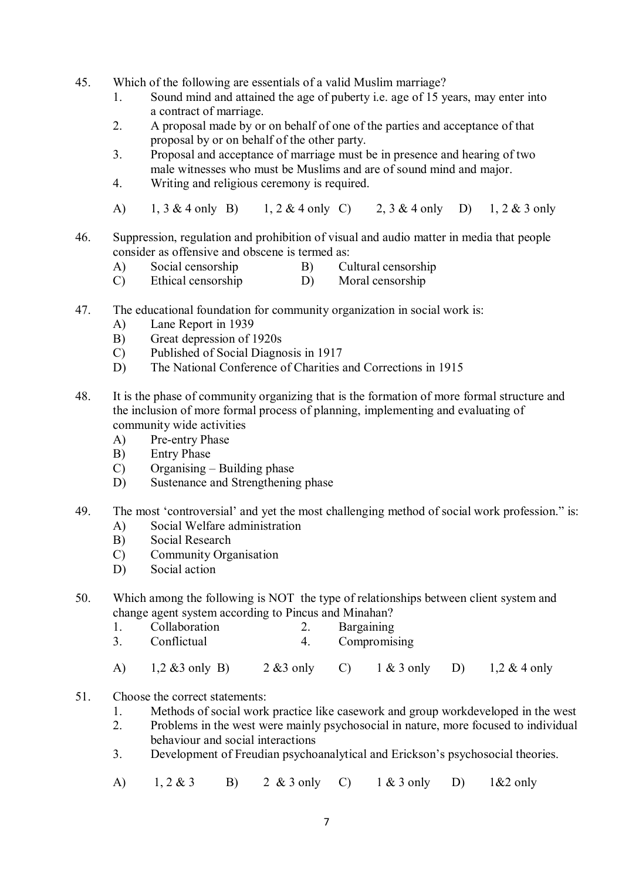- 45. Which of the following are essentials of a valid Muslim marriage?
	- 1. Sound mind and attained the age of puberty i.e. age of 15 years, may enter into a contract of marriage.
	- 2. A proposal made by or on behalf of one of the parties and acceptance of that proposal by or on behalf of the other party.
	- 3. Proposal and acceptance of marriage must be in presence and hearing of two male witnesses who must be Muslims and are of sound mind and major.
	- 4. Writing and religious ceremony is required.
	- A) 1, 3 & 4 only B) 1, 2 & 4 only C) 2, 3 & 4 only D) 1, 2 & 3 only
- 46. Suppression, regulation and prohibition of visual and audio matter in media that people consider as offensive and obscene is termed as:
	- A) Social censorship B) Cultural censorship
	- C) Ethical censorship D) Moral censorship
- 47. The educational foundation for community organization in social work is:
	- A) Lane Report in 1939
	- B) Great depression of 1920s
	- C) Published of Social Diagnosis in 1917
	- D) The National Conference of Charities and Corrections in 1915
- 48. It is the phase of community organizing that is the formation of more formal structure and the inclusion of more formal process of planning, implementing and evaluating of community wide activities
	- A) Pre-entry Phase
	- B) Entry Phase
	- C) Organising Building phase
	- D) Sustenance and Strengthening phase
- 49. The most 'controversial' and yet the most challenging method of social work profession." is: A) Social Welfare administration
	-
	- B) Social Research
	- C) Community Organisation
	- D) Social action
- 50. Which among the following is NOT the type of relationships between client system and change agent system according to Pincus and Minahan?
	- 1. Collaboration 2. Bargaining
	- 3. Conflictual 4. Compromising
	- A) 1,2 &3 only B) 2 &3 only C) 1 & 3 only D) 1,2 & 4 only
- 51. Choose the correct statements:
	- 1. Methods of social work practice like casework and group workdeveloped in the west
	- 2. Problems in the west were mainly psychosocial in nature, more focused to individual behaviour and social interactions
	- 3. Development of Freudian psychoanalytical and Erickson's psychosocial theories.
	- A) 1, 2 & 3 B) 2 & 3 only C) 1 & 3 only D) 1&2 only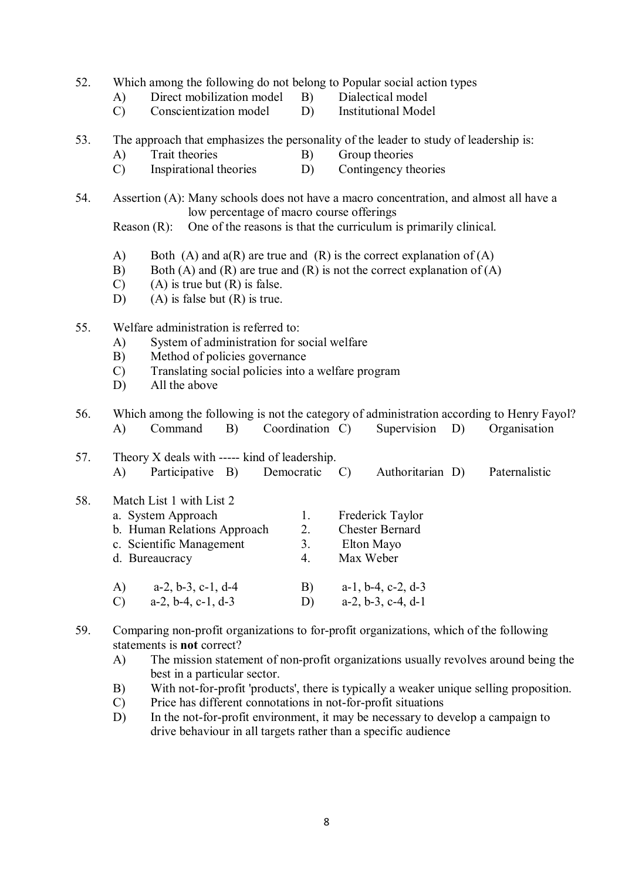- 52. Which among the following do not belong to Popular social action types
	-
- - A) Direct mobilization model B) Dialectical model<br>C) Conscientization model D) Institutional Model  $(C)$  Conscientization model D)
- 53. The approach that emphasizes the personality of the leader to study of leadership is:
	- A) Trait theories B) Group theories
	- C) Inspirational theories D) Contingency theories
- 54. Assertion (A): Many schools does not have a macro concentration, and almost all have a low percentage of macro course offerings

Reason (R): One of the reasons is that the curriculum is primarily clinical.

- A) Both (A) and  $a(R)$  are true and (R) is the correct explanation of (A)
- B) Both (A) and (R) are true and (R) is not the correct explanation of (A)
- $(C)$  (A) is true but  $(R)$  is false.
- D) (A) is false but  $(R)$  is true.
- 55. Welfare administration is referred to:
	- A) System of administration for social welfare
	- B) Method of policies governance
	- C) Translating social policies into a welfare program
	- D) All the above
- 56. Which among the following is not the category of administration according to Henry Fayol? A) Command B) Coordination C) Supervision D) Organisation

| 57. | Theory X deals with ----- kind of leadership.<br>Participative B)<br>Democratic<br>A)                                       |                      | Authoritarian D)                                                      | Paternalistic |
|-----|-----------------------------------------------------------------------------------------------------------------------------|----------------------|-----------------------------------------------------------------------|---------------|
| 58. | Match List 1 with List 2<br>a. System Approach<br>b. Human Relations Approach<br>c. Scientific Management<br>d. Bureaucracy | 1.<br>2.<br>3.<br>4. | Frederick Taylor<br><b>Chester Bernard</b><br>Elton Mayo<br>Max Weber |               |
|     | $a-2$ , $b-3$ , $c-1$ , $d-4$<br>A)                                                                                         | $\mathbf{B}$         | $a-1$ , $b-4$ , $c-2$ , $d-3$                                         |               |

- 59. Comparing non-profit organizations to for-profit organizations, which of the following statements is **not** correct?
	- A) The mission statement of non-profit organizations usually revolves around being the best in a particular sector.
	- B) With not-for-profit 'products', there is typically a weaker unique selling proposition.
	- C) Price has different connotations in not-for-profit situations

C) a-2, b-4, c-1, d-3 D) a-2, b-3, c-4, d-1

D) In the not-for-profit environment, it may be necessary to develop a campaign to drive behaviour in all targets rather than a specific audience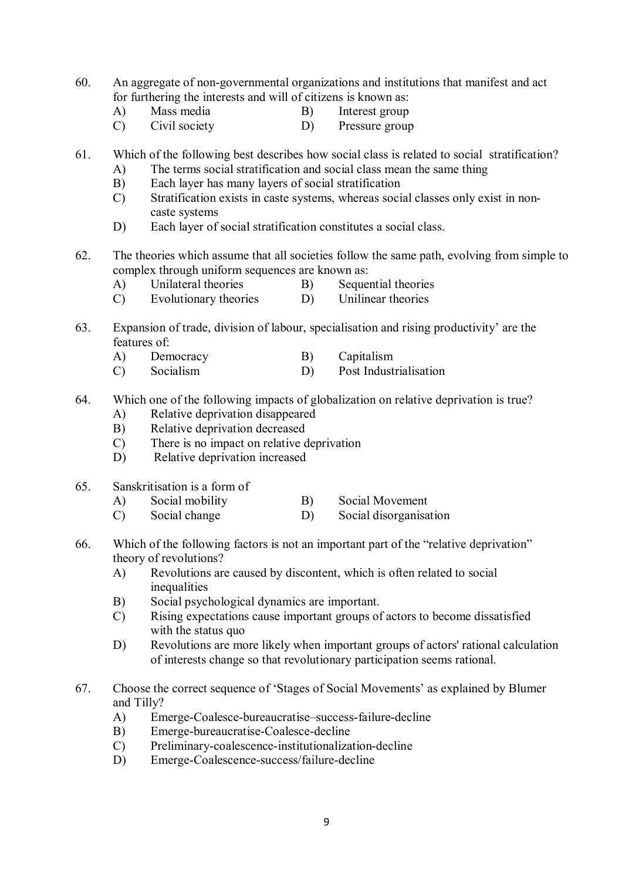- 60. An aggregate of non-governmental organizations and institutions that manifest and act for furthering the interests and will of citizens is known as:
	- A) Mass media B) Interest group
		-
	- C) Civil society D) Pressure group
- 61. Which of the following best describes how social class is related to social stratification?
	- A) The terms social stratification and social class mean the same thing
	- B) Each layer has many layers of social stratification
	- C) Stratification exists in caste systems, whereas social classes only exist in noncaste systems
	- D) Each layer of social stratification constitutes a social class.
- 62. The theories which assume that all societies follow the same path, evolving from simple to complex through uniform sequences are known as:
	- A) Unilateral theories B) Sequential theories<br>
	C) Evolutionary theories D) Unilinear theories
	- Evolutionary theories
- 63. Expansion of trade, division of labour, specialisation and rising productivity' are the features of:
	- A) Democracy B) Capitalism
	- C) Socialism D) Post Industrialisation
- 64. Which one of the following impacts of globalization on relative deprivation is true?
	- A) Relative deprivation disappeared
	- B) Relative deprivation decreased
	- C) There is no impact on relative deprivation
	- D) Relative deprivation increased
- 65. Sanskritisation is a form of
	- A) Social mobility B) Social Movement
	- C) Social change D) Social disorganisation
- 66. Which of the following factors is not an important part of the "relative deprivation" theory of revolutions?
	- A) Revolutions are caused by discontent, which is often related to social inequalities
	- B) Social psychological dynamics are important.
	- C) Rising expectations cause important groups of actors to become dissatisfied with the status quo
	- D) Revolutions are more likely when important groups of actors' rational calculation of interests change so that revolutionary participation seems rational.
- 67. Choose the correct sequence of 'Stages of Social Movements' as explained by Blumer and Tilly?
	- A) Emerge-Coalesce-bureaucratise–success-failure-decline
	- B) Emerge-bureaucratise-Coalesce-decline
	- C) Preliminary-coalescence-institutionalization-decline
	- D) Emerge-Coalescence-success/failure-decline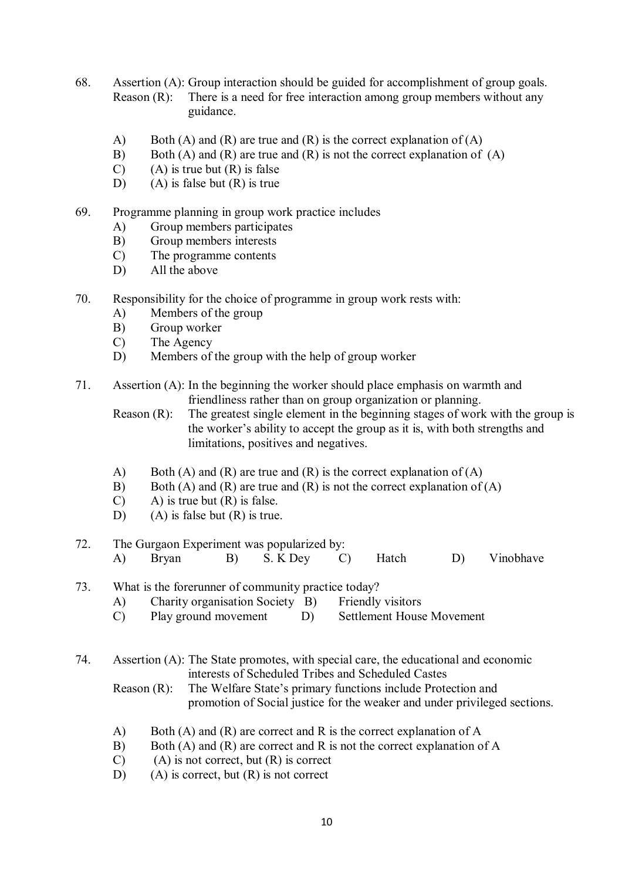- 68. Assertion (A): Group interaction should be guided for accomplishment of group goals. Reason (R): There is a need for free interaction among group members without any guidance.
	- A) Both (A) and (R) are true and (R) is the correct explanation of (A)
	- B) Both (A) and (R) are true and (R) is not the correct explanation of (A)
	- $(C)$  (A) is true but  $(R)$  is false
	- D) (A) is false but  $(R)$  is true
- 69. Programme planning in group work practice includes
	- A) Group members participates
	- B) Group members interests
	- C) The programme contents
	- D) All the above
- 70. Responsibility for the choice of programme in group work rests with:
	- A) Members of the group
	- B) Group worker
	- C) The Agency
	- D) Members of the group with the help of group worker
- 71. Assertion (A): In the beginning the worker should place emphasis on warmth and friendliness rather than on group organization or planning.
	- Reason (R): The greatest single element in the beginning stages of work with the group is the worker's ability to accept the group as it is, with both strengths and limitations, positives and negatives.
	- A) Both (A) and (R) are true and (R) is the correct explanation of (A)
	- B) Both (A) and (R) are true and (R) is not the correct explanation of (A)
	- $(C)$  A) is true but  $(R)$  is false.
	- D) (A) is false but (R) is true.

# 72. The Gurgaon Experiment was popularized by: A) Bryan B) S. K Dey C) Hatch D) Vinobhave

- 73. What is the forerunner of community practice today?<br>
A) Charity organisation Society B) Friendly visitors
	- A) Charity organisation Society  $\overline{B}$
	- C) Play ground movement D) Settlement House Movement
- 74. Assertion (A): The State promotes, with special care, the educational and economic interests of Scheduled Tribes and Scheduled Castes
	- Reason (R): The Welfare State's primary functions include Protection and promotion of Social justice for the weaker and under privileged sections.
	- A) Both (A) and (R) are correct and R is the correct explanation of A
	- B) Both (A) and (R) are correct and R is not the correct explanation of A
	- $(C)$  (A) is not correct, but  $(R)$  is correct
	- D) (A) is correct, but  $(R)$  is not correct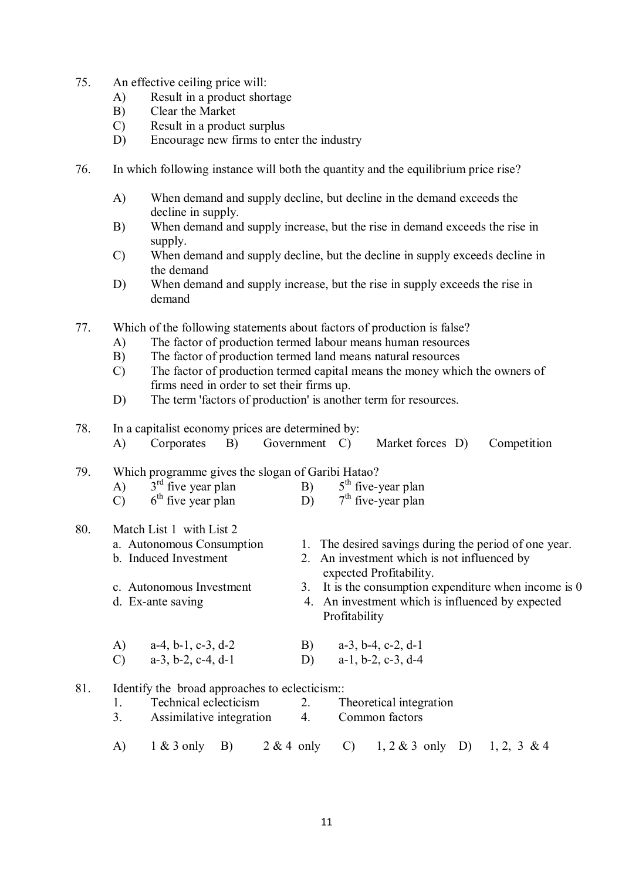- 75. An effective ceiling price will:
	- A) Result in a product shortage
	- B) Clear the Market
	- C) Result in a product surplus
	- D) Encourage new firms to enter the industry
- 76. In which following instance will both the quantity and the equilibrium price rise?
	- A) When demand and supply decline, but decline in the demand exceeds the decline in supply.
	- B) When demand and supply increase, but the rise in demand exceeds the rise in supply.
	- C) When demand and supply decline, but the decline in supply exceeds decline in the demand
	- D) When demand and supply increase, but the rise in supply exceeds the rise in demand
- 77. Which of the following statements about factors of production is false?
	- A) The factor of production termed labour means human resources
	- B) The factor of production termed land means natural resources
	- C) The factor of production termed capital means the money which the owners of firms need in order to set their firms up.
	- D) The term 'factors of production' is another term for resources.
- 78. In a capitalist economy prices are determined by:

|  | Corporates B) |  | Government C) |  | Market forces D) | Competition |
|--|---------------|--|---------------|--|------------------|-------------|
|--|---------------|--|---------------|--|------------------|-------------|

### 79. Which programme gives the slogan of Garibi Hatao?

| .   | which programme gives the stogan or ourior riance.<br>$3rd$ five year plan | $5th$ five-year plan                               |
|-----|----------------------------------------------------------------------------|----------------------------------------------------|
|     | $6th$ five year plan<br>$\bigcap$                                          | $7th$ five-year plan                               |
| 80. | Match List 1 with List 2                                                   |                                                    |
|     | a. Autonomous Consumption                                                  | The desired savings during the period of one year. |

- b. Induced Investment 2. An investment which is not influenced by expected Profitability.
- c. Autonomous Investment  $\qquad \qquad$  3. It is the consumption expenditure when income is 0
- d. Ex-ante saving 4. An investment which is influenced by expected Profitability

| A) $a-4, b-1, c-3, d-2$ | B) $a-3$ , b-4, c-2, d-1 |
|-------------------------|--------------------------|
| C) $a-3, b-2, c-4, d-1$ | D) $a-1, b-2, c-3, d-4$  |

- 81. Identify the broad approaches to eclecticism::
	- 1. Technical eclecticism 2. Theoretical integration
	- 3. Assimilative integration 4. Common factors
	- A) 1 & 3 only B) 2 & 4 only C) 1, 2 & 3 only D) 1, 2, 3 & 4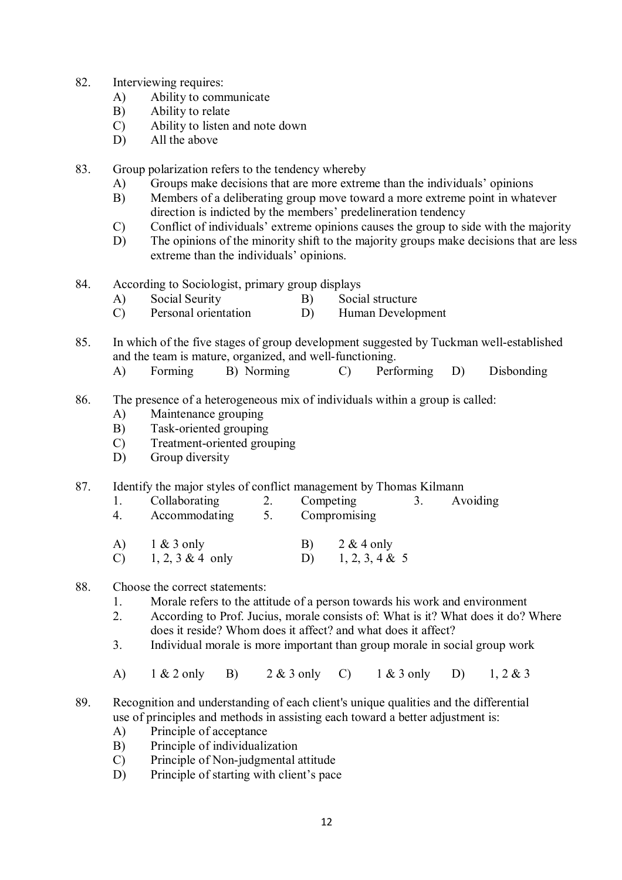- 82. Interviewing requires:
	- A) Ability to communicate
	- B) Ability to relate
	- C) Ability to listen and note down
	- D) All the above

83. Group polarization refers to the tendency whereby

- A) Groups make decisions that are more extreme than the individuals' opinions
- B) Members of a deliberating group move toward a more extreme point in whatever direction is indicted by the members' predelineration tendency
- C) Conflict of individuals' extreme opinions causes the group to side with the majority
- D) The opinions of the minority shift to the majority groups make decisions that are less extreme than the individuals' opinions.
- 84. According to Sociologist, primary group displays<br>A) Social Seurity B) Social
	- A) Social Seurity B) Social structure
	- C) Personal orientation D) Human Development
- 85. In which of the five stages of group development suggested by Tuckman well-established and the team is mature, organized, and well-functioning.
	- A) Forming B) Norming C) Performing D) Disbonding
- 86. The presence of a heterogeneous mix of individuals within a group is called:
	- A) Maintenance grouping
	- B) Task-oriented grouping
	- C) Treatment-oriented grouping
	- D) Group diversity

## 87. Identify the major styles of conflict management by Thomas Kilmann

- 1. Collaborating 2. Competing 3. Avoiding
- 4. Accommodating 5. Compromising
- A) 1 & 3 only B) 2 & 4 only<br>
C) 1, 2, 3 & 4 only D) 1, 2, 3, 4 & C) 1, 2, 3 & 4 only D) 1, 2, 3, 4 & 5

#### 88. Choose the correct statements:

- 1. Morale refers to the attitude of a person towards his work and environment<br>2. According to Prof. Jucius morale consists of What is it? What does it do?
- 2. According to Prof. Jucius, morale consists of: What is it? What does it do? Where does it reside? Whom does it affect? and what does it affect?
- 3. Individual morale is more important than group morale in social group work
- A) 1 & 2 only B) 2 & 3 only C) 1 & 3 only D) 1, 2 & 3

## 89. Recognition and understanding of each client's unique qualities and the differential use of principles and methods in assisting each toward a better adjustment is:

- A) Principle of acceptance
- B) Principle of individualization
- C) Principle of Non-judgmental attitude
- D) Principle of starting with client's pace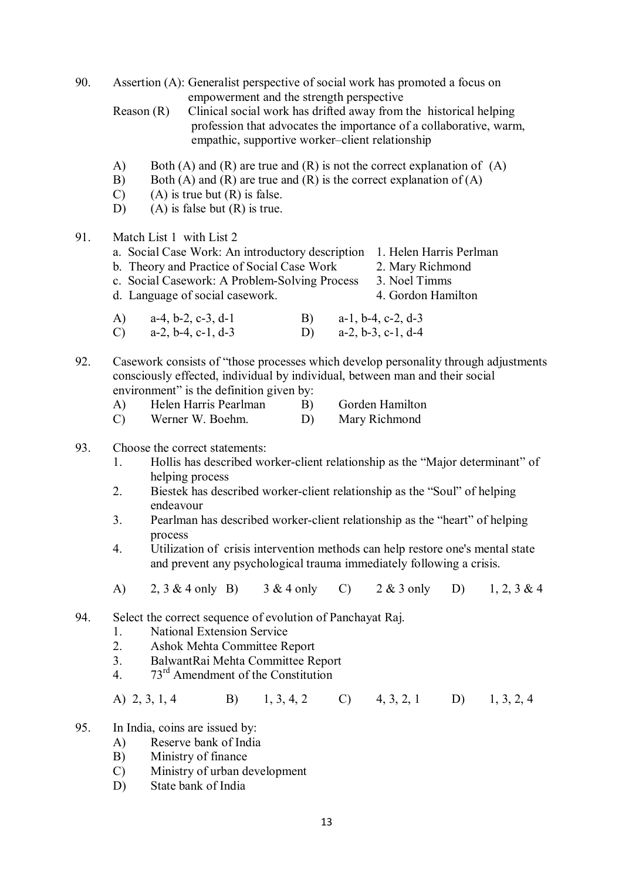| 90.                                                                                                                                                                                                                    |                                 | Assertion (A): Generalist perspective of social work has promoted a focus on<br>empowerment and the strength perspective                                                                                                               |  |          |  |                                                                                                                                                        |    |                |  |  |
|------------------------------------------------------------------------------------------------------------------------------------------------------------------------------------------------------------------------|---------------------------------|----------------------------------------------------------------------------------------------------------------------------------------------------------------------------------------------------------------------------------------|--|----------|--|--------------------------------------------------------------------------------------------------------------------------------------------------------|----|----------------|--|--|
|                                                                                                                                                                                                                        |                                 | Reason $(R)$<br>Clinical social work has drifted away from the historical helping<br>profession that advocates the importance of a collaborative, warm,<br>empathic, supportive worker-client relationship                             |  |          |  |                                                                                                                                                        |    |                |  |  |
|                                                                                                                                                                                                                        | A)<br>B)<br>$\mathcal{C}$<br>D) | Both (A) and (R) are true and (R) is not the correct explanation of $(A)$<br>Both (A) and (R) are true and (R) is the correct explanation of $(A)$<br>$(A)$ is true but $(R)$ is false.<br>$(A)$ is false but $(R)$ is true.           |  |          |  |                                                                                                                                                        |    |                |  |  |
| 91.                                                                                                                                                                                                                    |                                 | Match List 1 with List 2<br>a. Social Case Work: An introductory description 1. Helen Harris Perlman<br>b. Theory and Practice of Social Case Work<br>c. Social Casework: A Problem-Solving Process<br>d. Language of social casework. |  |          |  | 2. Mary Richmond<br>3. Noel Timms<br>4. Gordon Hamilton                                                                                                |    |                |  |  |
|                                                                                                                                                                                                                        | A)<br>$\mathcal{C}$ )           | $a-4, b-2, c-3, d-1$<br>$a-2$ , $b-4$ , $c-1$ , $d-3$                                                                                                                                                                                  |  |          |  | B) $a-1, b-4, c-2, d-3$<br>D) $a-2, b-3, c-1, d-4$                                                                                                     |    |                |  |  |
| Casework consists of "those processes which develop personality through adjustments<br>92.<br>consciously effected, individual by individual, between man and their social<br>environment" is the definition given by: |                                 |                                                                                                                                                                                                                                        |  |          |  |                                                                                                                                                        |    |                |  |  |
|                                                                                                                                                                                                                        | A)<br>$\mathcal{C}$             | Helen Harris Pearlman<br>Werner W. Boehm.                                                                                                                                                                                              |  | B)<br>D) |  | Gorden Hamilton<br>Mary Richmond                                                                                                                       |    |                |  |  |
| 93.                                                                                                                                                                                                                    |                                 | Choose the correct statements:                                                                                                                                                                                                         |  |          |  |                                                                                                                                                        |    |                |  |  |
|                                                                                                                                                                                                                        | 1.                              | Hollis has described worker-client relationship as the "Major determinant" of<br>helping process                                                                                                                                       |  |          |  |                                                                                                                                                        |    |                |  |  |
|                                                                                                                                                                                                                        | 2.                              | Biestek has described worker-client relationship as the "Soul" of helping<br>endeavour                                                                                                                                                 |  |          |  |                                                                                                                                                        |    |                |  |  |
|                                                                                                                                                                                                                        | 3.                              | Pearlman has described worker-client relationship as the "heart" of helping<br>process                                                                                                                                                 |  |          |  |                                                                                                                                                        |    |                |  |  |
|                                                                                                                                                                                                                        | 4.                              |                                                                                                                                                                                                                                        |  |          |  | Utilization of crisis intervention methods can help restore one's mental state<br>and prevent any psychological trauma immediately following a crisis. |    |                |  |  |
|                                                                                                                                                                                                                        | A)                              | 2, $3 \& 4$ only B) $3 \& 4$ only C) $2 \& 3$ only                                                                                                                                                                                     |  |          |  |                                                                                                                                                        | D) | $1, 2, 3 \& 4$ |  |  |
| 94.                                                                                                                                                                                                                    |                                 | Select the correct sequence of evolution of Panchayat Raj.                                                                                                                                                                             |  |          |  |                                                                                                                                                        |    |                |  |  |

- 1. National Extension Service
- 2. Ashok Mehta Committee Report<br>3 Balwant Rai Mehta Committee Report
- 3. BalwantRai Mehta Committee Report<br>4.  $73<sup>rd</sup>$  Amendment of the Constitution
- 73<sup>rd</sup> Amendment of the Constitution

A) 2, 3, 1, 4 B) 1, 3, 4, 2 C) 4, 3, 2, 1 D) 1, 3, 2, 4

- 95. In India, coins are issued by:
	- A) Reserve bank of India<br>B) Ministry of finance
	- Ministry of finance
	- C) Ministry of urban development<br>D) State bank of India
	- State bank of India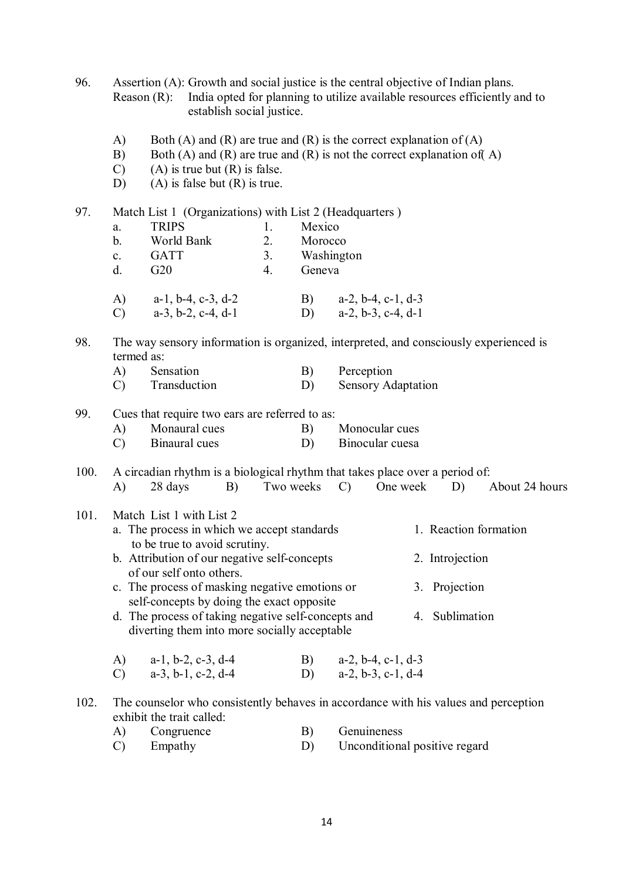96. Assertion (A): Growth and social justice is the central objective of Indian plans. Reason (R): India opted for planning to utilize available resources efficiently and to establish social justice.

- A) Both (A) and (R) are true and (R) is the correct explanation of (A)
- B) Both (A) and (R) are true and (R) is not the correct explanation of (A) C) (A) is true but (R) is false.
- (A) is true but  $(R)$  is false.
- $D$ ) (A) is false but (R) is true.

| 97.  |                                                                                                                       | Match List 1 (Organizations) with List 2 (Headquarters)                  |                |         |                                                                                       |  |  |
|------|-----------------------------------------------------------------------------------------------------------------------|--------------------------------------------------------------------------|----------------|---------|---------------------------------------------------------------------------------------|--|--|
|      | a.                                                                                                                    | <b>TRIPS</b>                                                             | 1.             | Mexico  |                                                                                       |  |  |
|      | $\mathbf b$ .                                                                                                         | World Bank                                                               | 2.             | Morocco |                                                                                       |  |  |
|      | $\mathbf{c}$ .                                                                                                        | <b>GATT</b>                                                              | 3 <sub>1</sub> |         | Washington                                                                            |  |  |
|      | d.                                                                                                                    | G20                                                                      | 4.             | Geneva  |                                                                                       |  |  |
|      | A)                                                                                                                    | $a-1$ , $b-4$ , $c-3$ , $d-2$                                            |                | B)      | $a-2$ , $b-4$ , $c-1$ , $d-3$                                                         |  |  |
|      | $\mathcal{C}$                                                                                                         | $a-3$ , $b-2$ , $c-4$ , $d-1$                                            |                | D)      | $a-2$ , $b-3$ , $c-4$ , $d-1$                                                         |  |  |
| 98.  | termed as:                                                                                                            |                                                                          |                |         | The way sensory information is organized, interpreted, and consciously experienced is |  |  |
|      | A)                                                                                                                    | Sensation                                                                |                | B)      | Perception                                                                            |  |  |
|      | $\mathcal{C}$                                                                                                         | Transduction                                                             |                | D)      | <b>Sensory Adaptation</b>                                                             |  |  |
| 99.  |                                                                                                                       | Cues that require two ears are referred to as:                           |                |         |                                                                                       |  |  |
|      | $\bf{A}$                                                                                                              | Monaural cues                                                            |                | B)      | Monocular cues                                                                        |  |  |
|      | $\mathcal{C}$                                                                                                         | Binaural cues                                                            |                | D)      | Binocular cuesa                                                                       |  |  |
|      |                                                                                                                       |                                                                          |                |         |                                                                                       |  |  |
| 100. |                                                                                                                       |                                                                          |                |         | A circadian rhythm is a biological rhythm that takes place over a period of:          |  |  |
|      | A)                                                                                                                    | 28 days<br>B)                                                            | Two weeks      |         | One week<br>$\mathcal{C}$<br>D)<br>About 24 hours                                     |  |  |
| 101. |                                                                                                                       | Match List 1 with List 2                                                 |                |         |                                                                                       |  |  |
|      |                                                                                                                       | a. The process in which we accept standards                              |                |         | 1. Reaction formation                                                                 |  |  |
|      |                                                                                                                       | to be true to avoid scrutiny.                                            |                |         |                                                                                       |  |  |
|      |                                                                                                                       | b. Attribution of our negative self-concepts<br>of our self onto others. |                |         | 2. Introjection                                                                       |  |  |
|      |                                                                                                                       | c. The process of masking negative emotions or                           |                |         | 3. Projection                                                                         |  |  |
|      | self-concepts by doing the exact opposite                                                                             |                                                                          |                |         |                                                                                       |  |  |
|      | d. The process of taking negative self-concepts and<br>4. Sublimation<br>diverting them into more socially acceptable |                                                                          |                |         |                                                                                       |  |  |
|      | $\bf{A}$                                                                                                              | $a-1$ , $b-2$ , $c-3$ , $d-4$                                            |                | B)      | $a-2$ , $b-4$ , $c-1$ , $d-3$                                                         |  |  |
|      | $\mathcal{C}$                                                                                                         | $a-3$ , $b-1$ , $c-2$ , $d-4$                                            |                | D)      | $a-2, b-3, c-1, d-4$                                                                  |  |  |
|      |                                                                                                                       |                                                                          |                |         |                                                                                       |  |  |
| 102. |                                                                                                                       | exhibit the trait called:                                                |                |         | The counselor who consistently behaves in accordance with his values and perception   |  |  |
|      | A)                                                                                                                    | Congruence                                                               |                | B)      | Genuineness                                                                           |  |  |

| $\lambda$ $\lambda$ $\lambda$ | $\cup$ Ungruvno | <b>OVINHIUMO</b>              |
|-------------------------------|-----------------|-------------------------------|
|                               | Empathy         | Unconditional positive regard |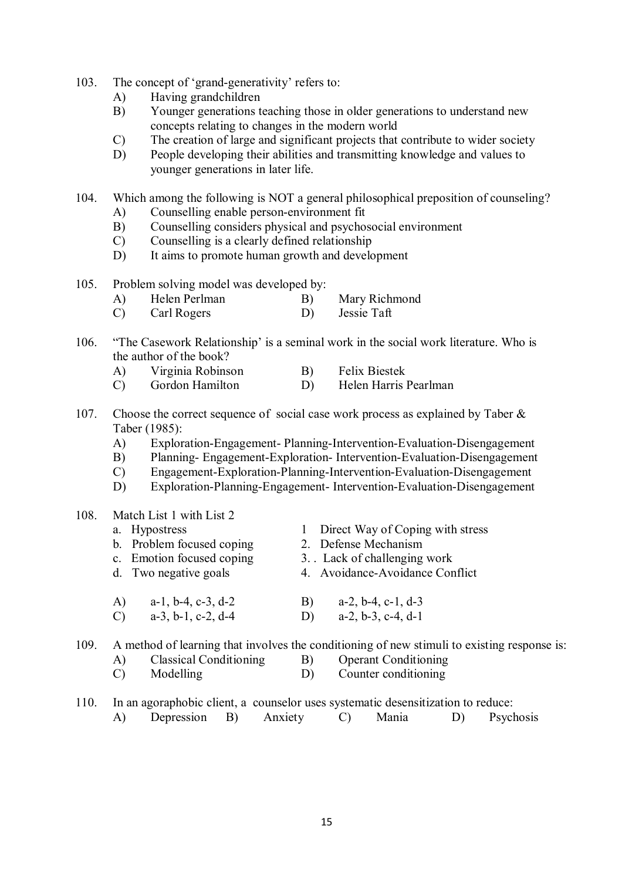- 103. The concept of 'grand-generativity' refers to:
	- A) Having grandchildren
	- B) Younger generations teaching those in older generations to understand new concepts relating to changes in the modern world
	- C) The creation of large and significant projects that contribute to wider society
	- D) People developing their abilities and transmitting knowledge and values to younger generations in later life.

104. Which among the following is NOT a general philosophical preposition of counseling? A) Counselling enable person-environment fit

- B) Counselling considers physical and psychosocial environment
- C) Counselling is a clearly defined relationship
- D) It aims to promote human growth and development
- 105. Problem solving model was developed by:<br>A) Helen Perlman B)
	- A) Helen Perlman B) Mary Richmond
	- C) Carl Rogers D) Jessie Taft
- 106. "The Casework Relationship' is a seminal work in the social work literature. Who is the author of the book?
	- A) Virginia Robinson B) Felix Biestek
	- C) Gordon Hamilton D) Helen Harris Pearlman
- 107. Choose the correct sequence of social case work process as explained by Taber & Taber (1985):
	- A) Exploration-Engagement- Planning-Intervention-Evaluation-Disengagement
	- B) Planning- Engagement-Exploration- Intervention-Evaluation-Disengagement
	- C) Engagement-Exploration-Planning-Intervention-Evaluation-Disengagement
	- D) Exploration-Planning-Engagement- Intervention-Evaluation-Disengagement
- 108. Match List 1 with List 2

|      | a. Hypostress                                  | Direct Way of Coping with stress                                                            |  |
|------|------------------------------------------------|---------------------------------------------------------------------------------------------|--|
|      | b. Problem focused coping                      | 2. Defense Mechanism                                                                        |  |
|      | c. Emotion focused coping                      | 3. Lack of challenging work                                                                 |  |
|      | d. Two negative goals                          | 4. Avoidance-Avoidance Conflict                                                             |  |
|      | $a-1$ , $b-4$ , $c-3$ , $d-2$<br>A)            | $a-2, b-4, c-1, d-3$<br>B)                                                                  |  |
|      | $a-3$ , $b-1$ , $c-2$ , $d-4$<br>$\mathcal{C}$ | $a-2, b-3, c-4, d-1$<br>D)                                                                  |  |
| 109. |                                                | A method of learning that involves the conditioning of new stimuli to existing response is: |  |
|      | Classical Conditioning                         | R)<br><b>Conduction</b>                                                                     |  |

- A) Classical Conditioning B) Operant C<br>
C) Modelling D) Count Modelling D) Counter conditioning
- 110. In an agoraphobic client, a counselor uses systematic desensitization to reduce: A) Depression B) Anxiety C) Mania D) Psychosis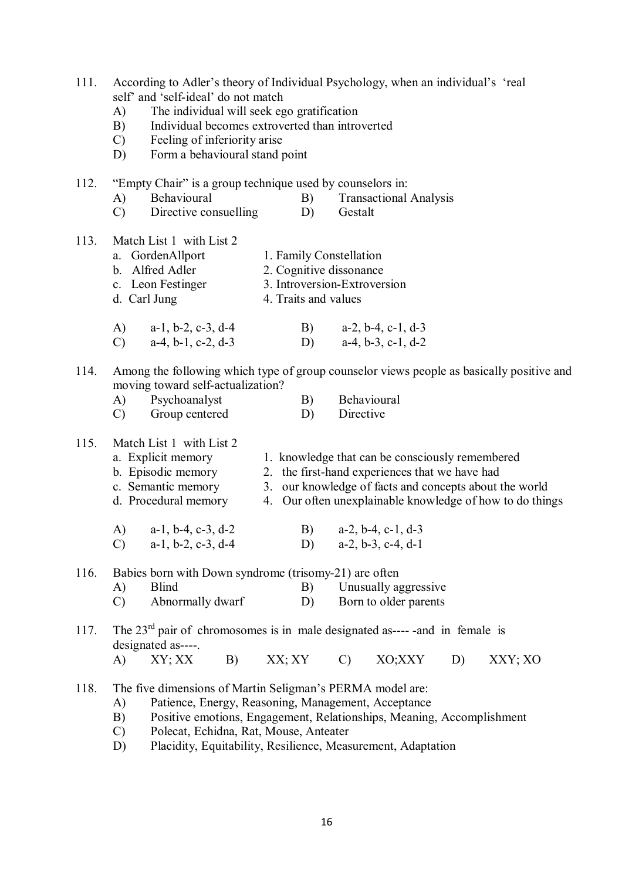- 111. According to Adler's theory of Individual Psychology, when an individual's 'real self' and 'self-ideal' do not match
	- A) The individual will seek ego gratification
	- B) Individual becomes extroverted than introverted
	- C) Feeling of inferiority arise
	- D) Form a behavioural stand point
- 112. "Empty Chair" is a group technique used by counselors in:
	- A) Behavioural B) Transactional Analysis
	- C) Directive consuelling D) Gestalt
- 113. Match List 1 with List 2
	- a. GordenAllport 1. Family Constellation b. Alfred Adler 2. Cognitive dissonance
	- c. Leon Festinger 3. Introversion-Extroversion
	- d. Carl Jung 4. Traits and values
	- A) a-1, b-2, c-3, d-4 B) a-2, b-4, c-1, d-3<br>C) a-4, b-1, c-2, d-3 D) a-4, b-3, c-1, d-2 C) a-4, b-1, c-2, d-3 D)
- 114. Among the following which type of group counselor views people as basically positive and moving toward self-actualization?
	- A) Psychoanalyst B) Behavioural C) Group centered D) Directive
- 115. Match List 1 with List 2
	- a. Explicit memory 1. knowledge that can be consciously remembered b. Episodic memory 2. the first-hand experiences that we have had c. Semantic memory 3. our knowledge of facts and concepts about 1 3. our knowledge of facts and concepts about the world d. Procedural memory 4. Our often unexplainable knowledge of how to do things A) a-1, b-4, c-3, d-2 B) a-2, b-4, c-1, d-3 C) a-1, b-2, c-3, d-4 D) a-2, b-3, c-4, d-1

116. Babies born with Down syndrome (trisomy-21) are often

- A) Blind B) Unusually aggressive C) Abnormally dwarf D) Born to older parents
- 117. The  $23<sup>rd</sup>$  pair of chromosomes is in male designated as----- and in female is designated as----.
	- A) XY; XX B) XX; XY C) XO;XXY D) XXY; XO
- 118. The five dimensions of Martin Seligman's PERMA model are:
	- A) Patience, Energy, Reasoning, Management, Acceptance
	- B) Positive emotions, Engagement, Relationships, Meaning, Accomplishment
	- C) Polecat, Echidna, Rat, Mouse, Anteater
	- D) Placidity, Equitability, Resilience, Measurement, Adaptation